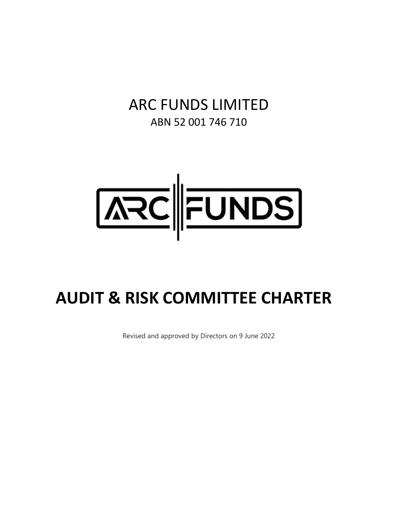# ARC FUNDS LIMITED ABN 52 001 746 710



# **AUDIT & RISK COMMITTEE CHARTER**

Revised and approved by Directors on 9 June 2022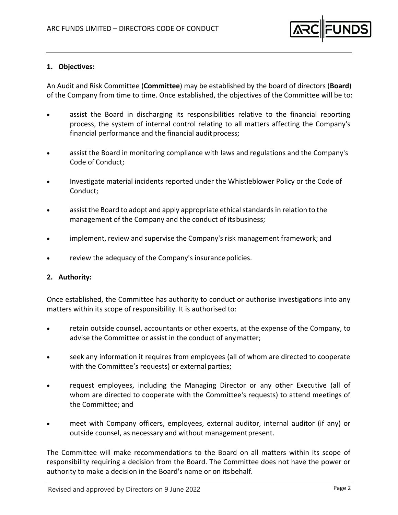

#### **1. Objectives:**

An Audit and Risk Committee (**Committee**) may be established by the board of directors (**Board**) of the Company from time to time. Once established, the objectives of the Committee will be to:

- assist the Board in discharging its responsibilities relative to the financial reporting process, the system of internal control relating to all matters affecting the Company's financial performance and the financial audit process;
- assist the Board in monitoring compliance with laws and regulations and the Company's Code of Conduct;
- Investigate material incidents reported under the Whistleblower Policy or the Code of Conduct;
- assist the Board to adopt and apply appropriate ethical standards in relation to the management of the Company and the conduct of itsbusiness;
- implement, review and supervise the Company's risk management framework; and
- review the adequacy of the Company's insurance policies.

#### **2. Authority:**

Once established, the Committee has authority to conduct or authorise investigations into any matters within its scope of responsibility. It is authorised to:

- retain outside counsel, accountants or other experts, at the expense of the Company, to advise the Committee or assist in the conduct of anymatter;
- seek any information it requires from employees (all of whom are directed to cooperate with the Committee's requests) or external parties;
- request employees, including the Managing Director or any other Executive (all of whom are directed to cooperate with the Committee's requests) to attend meetings of the Committee; and
- meet with Company officers, employees, external auditor, internal auditor (if any) or outside counsel, as necessary and without management present.

The Committee will make recommendations to the Board on all matters within its scope of responsibility requiring a decision from the Board. The Committee does not have the power or authority to make a decision in the Board's name or on itsbehalf.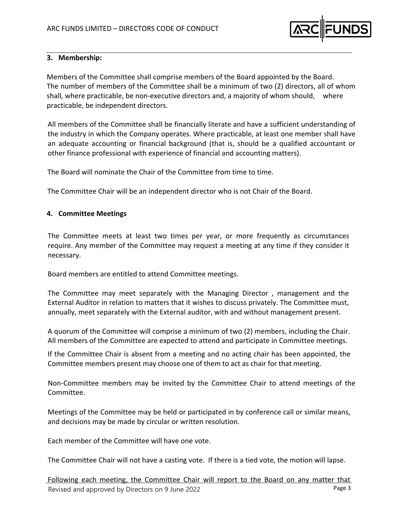

# **3. Membership:**

Members of the Committee shall comprise members of the Board appointed by the Board. The number of members of the Committee shall be a minimum of two (2) directors, all of whom shall, where practicable, be non-executive directors and, a majority of whom should, where practicable, be independent directors.

All members of the Committee shall be financially literate and have a sufficient understanding of the industry in which the Company operates. Where practicable, at least one member shall have an adequate accounting or financial background (that is, should be a qualified accountant or other finance professional with experience of financial and accounting matters).

The Board will nominate the Chair of the Committee from time to time.

The Committee Chair will be an independent director who is not Chair of the Board.

#### **4. Committee Meetings**

The Committee meets at least two times per year, or more frequently as circumstances require. Any member of the Committee may request a meeting at any time if they consider it necessary.

Board members are entitled to attend Committee meetings.

The Committee may meet separately with the Managing Director , management and the External Auditor in relation to matters that it wishes to discuss privately. The Committee must, annually, meet separately with the External auditor, with and without management present.

A quorum of the Committee will comprise a minimum of two (2) members, including the Chair. All members of the Committee are expected to attend and participate in Committee meetings.

If the Committee Chair is absent from a meeting and no acting chair has been appointed, the Committee members present may choose one of them to act as chair for that meeting.

Non‐Committee members may be invited by the Committee Chair to attend meetings of the Committee.

Meetings of the Committee may be held or participated in by conference call or similar means, and decisions may be made by circular or written resolution.

Each member of the Committee will have one vote.

The Committee Chair will not have a casting vote. If there is a tied vote, the motion will lapse.

Revised and approved by Directors on 9 June 2022 Following each meeting, the Committee Chair will report to the Board on any matter that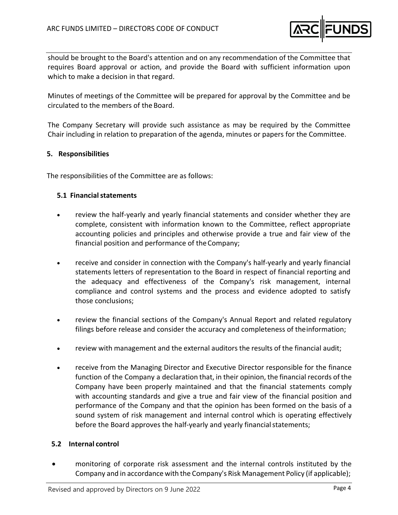

should be brought to the Board's attention and on any recommendation of the Committee that requires Board approval or action, and provide the Board with sufficient information upon which to make a decision in that regard.

Minutes of meetings of the Committee will be prepared for approval by the Committee and be circulated to the members of the Board.

The Company Secretary will provide such assistance as may be required by the Committee Chair including in relation to preparation of the agenda, minutes or papers for the Committee.

# **5. Responsibilities**

The responsibilities of the Committee are as follows:

# **5.1 Financialstatements**

- review the half‐yearly and yearly financial statements and consider whether they are complete, consistent with information known to the Committee, reflect appropriate accounting policies and principles and otherwise provide a true and fair view of the financial position and performance of the Company;
- receive and consider in connection with the Company's half‐yearly and yearly financial statements letters of representation to the Board in respect of financial reporting and the adequacy and effectiveness of the Company's risk management, internal compliance and control systems and the process and evidence adopted to satisfy those conclusions;
- review the financial sections of the Company's Annual Report and related regulatory filings before release and consider the accuracy and completeness of theinformation;
- review with management and the external auditors the results of the financial audit;
- receive from the Managing Director and Executive Director responsible for the finance function of the Company a declaration that, in their opinion, the financial records of the Company have been properly maintained and that the financial statements comply with accounting standards and give a true and fair view of the financial position and performance of the Company and that the opinion has been formed on the basis of a sound system of risk management and internal control which is operating effectively before the Board approves the half-yearly and yearly financial statements;

## **5.2 Internal control**

 monitoring of corporate risk assessment and the internal controls instituted by the Company and in accordance with the Company's Risk Management Policy (if applicable);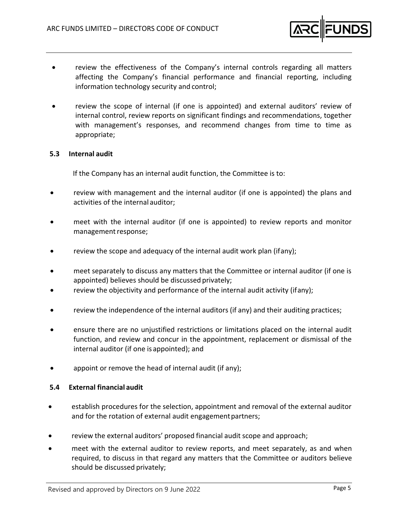

- review the effectiveness of the Company's internal controls regarding all matters affecting the Company's financial performance and financial reporting, including information technology security and control;
- review the scope of internal (if one is appointed) and external auditors' review of internal control, review reports on significant findings and recommendations, together with management's responses, and recommend changes from time to time as appropriate;

## **5.3 Internal audit**

If the Company has an internal audit function, the Committee is to:

- review with management and the internal auditor (if one is appointed) the plans and activities of the internal auditor;
- meet with the internal auditor (if one is appointed) to review reports and monitor management response;
- review the scope and adequacy of the internal audit work plan (ifany);
- meet separately to discuss any matters that the Committee or internal auditor (if one is appointed) believes should be discussed privately;
- review the objectivity and performance of the internal audit activity (ifany);
- review the independence of the internal auditors (if any) and their auditing practices;
- ensure there are no unjustified restrictions or limitations placed on the internal audit function, and review and concur in the appointment, replacement or dismissal of the internal auditor (if one is appointed); and
- appoint or remove the head of internal audit (if any);

#### **5.4 External financial audit**

- establish procedures for the selection, appointment and removal of the external auditor and for the rotation of external audit engagement partners;
- review the external auditors' proposed financial audit scope and approach;
- meet with the external auditor to review reports, and meet separately, as and when required, to discuss in that regard any matters that the Committee or auditors believe should be discussed privately;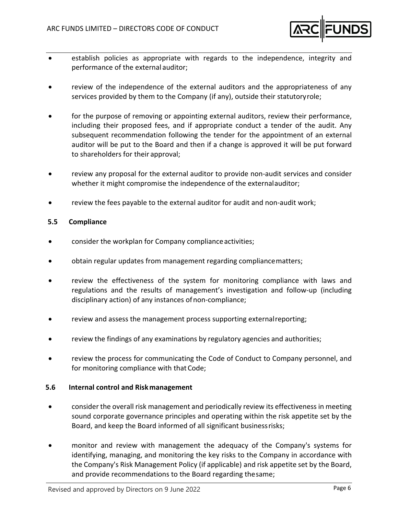

- establish policies as appropriate with regards to the independence, integrity and performance of the external auditor;
- review of the independence of the external auditors and the appropriateness of any services provided by them to the Company (if any), outside their statutoryrole;
- for the purpose of removing or appointing external auditors, review their performance, including their proposed fees, and if appropriate conduct a tender of the audit. Any subsequent recommendation following the tender for the appointment of an external auditor will be put to the Board and then if a change is approved it will be put forward to shareholders for their approval;
- review any proposal for the external auditor to provide non-audit services and consider whether it might compromise the independence of the externalauditor;
- review the fees payable to the external auditor for audit and non‐audit work;

#### **5.5 Compliance**

- consider the workplan for Company complianceactivities;
- obtain regular updates from management regarding compliancematters;
- review the effectiveness of the system for monitoring compliance with laws and regulations and the results of management's investigation and follow‐up (including disciplinary action) of any instances ofnon‐compliance;
- review and assess the management process supporting externalreporting;
- review the findings of any examinations by regulatory agencies and authorities;
- review the process for communicating the Code of Conduct to Company personnel, and for monitoring compliance with that Code;

#### **5.6 Internal control and Riskmanagement**

- consider the overall risk management and periodically review its effectivenessin meeting sound corporate governance principles and operating within the risk appetite set by the Board, and keep the Board informed of all significant businessrisks;
- monitor and review with management the adequacy of the Company's systems for identifying, managing, and monitoring the key risks to the Company in accordance with the Company's Risk Management Policy (if applicable) and risk appetite set by the Board, and provide recommendations to the Board regarding thesame;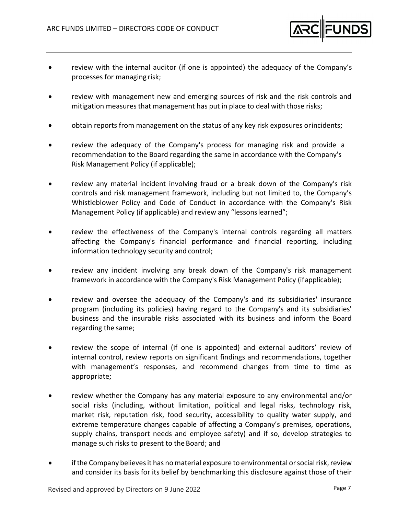

- review with the internal auditor (if one is appointed) the adequacy of the Company's processes for managing risk;
- review with management new and emerging sources of risk and the risk controls and mitigation measures that management has put in place to deal with those risks;
- obtain reports from management on the status of any key risk exposures orincidents;
- review the adequacy of the Company's process for managing risk and provide a recommendation to the Board regarding the same in accordance with the Company's Risk Management Policy (if applicable);
- review any material incident involving fraud or a break down of the Company's risk controls and risk management framework, including but not limited to, the Company's Whistleblower Policy and Code of Conduct in accordance with the Company's Risk Management Policy (if applicable) and review any "lessonslearned";
- review the effectiveness of the Company's internal controls regarding all matters affecting the Company's financial performance and financial reporting, including information technology security and control;
- review any incident involving any break down of the Company's risk management framework in accordance with the Company's Risk Management Policy (ifapplicable);
- review and oversee the adequacy of the Company's and its subsidiaries' insurance program (including its policies) having regard to the Company's and its subsidiaries' business and the insurable risks associated with its business and inform the Board regarding the same;
- review the scope of internal (if one is appointed) and external auditors' review of internal control, review reports on significant findings and recommendations, together with management's responses, and recommend changes from time to time as appropriate;
- review whether the Company has any material exposure to any environmental and/or social risks (including, without limitation, political and legal risks, technology risk, market risk, reputation risk, food security, accessibility to quality water supply, and extreme temperature changes capable of affecting a Company's premises, operations, supply chains, transport needs and employee safety) and if so, develop strategies to manage such risks to present to the Board; and
- if the Company believes it has no material exposure to environmental or social risk, review and consider its basis for its belief by benchmarking this disclosure against those of their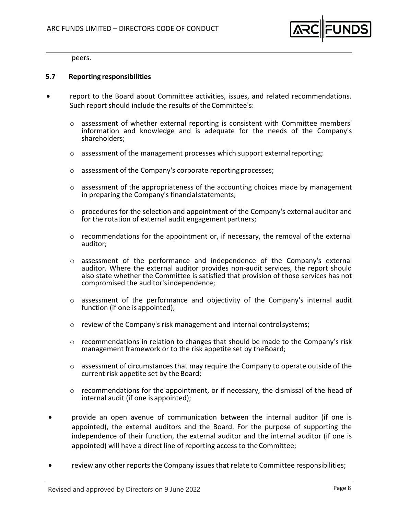

peers.

#### **5.7 Reporting responsibilities**

- report to the Board about Committee activities, issues, and related recommendations. Such report should include the results of the Committee's:
	- $\circ$  assessment of whether external reporting is consistent with Committee members' information and knowledge and is adequate for the needs of the Company's shareholders;
	- $\circ$  assessment of the management processes which support external reporting;
	- o assessment of the Company's corporate reportingprocesses;
	- o assessment of the appropriateness of the accounting choices made by management in preparing the Company's financialstatements;
	- $\circ$  procedures for the selection and appointment of the Company's external auditor and for the rotation of external audit engagement partners;
	- o recommendations for the appointment or, if necessary, the removal of the external auditor;
	- o assessment of the performance and independence of the Company's external auditor. Where the external auditor provides non‐audit services, the report should also state whether the Committee is satisfied that provision of those services has not compromised the auditor'sindependence;
	- $\circ$  assessment of the performance and objectivity of the Company's internal audit function (if one is appointed);
	- $\circ$  review of the Company's risk management and internal controlsystems;
	- $\circ$  recommendations in relation to changes that should be made to the Company's risk management framework or to the risk appetite set by theBoard;
	- $\circ$  assessment of circumstances that may require the Company to operate outside of the current risk appetite set by the Board;
	- $\circ$  recommendations for the appointment, or if necessary, the dismissal of the head of internal audit (if one is appointed);
- provide an open avenue of communication between the internal auditor (if one is appointed), the external auditors and the Board. For the purpose of supporting the independence of their function, the external auditor and the internal auditor (if one is appointed) will have a direct line of reporting access to theCommittee;
- review any other reports the Company issues that relate to Committee responsibilities;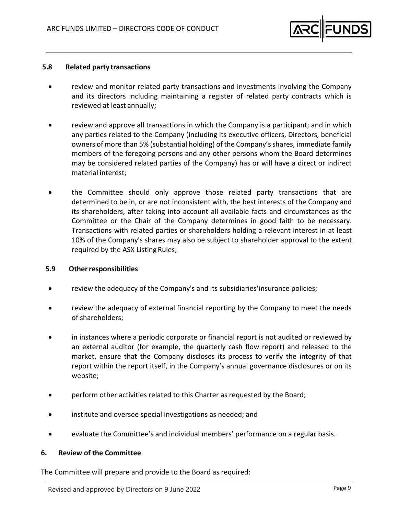

#### **5.8 Related party transactions**

- review and monitor related party transactions and investments involving the Company and its directors including maintaining a register of related party contracts which is reviewed at least annually;
- review and approve all transactions in which the Company is a participant; and in which any parties related to the Company (including its executive officers, Directors, beneficial owners of more than 5% (substantial holding) of the Company'sshares, immediate family members of the foregoing persons and any other persons whom the Board determines may be considered related parties of the Company) has or will have a direct or indirect material interest;
- the Committee should only approve those related party transactions that are determined to be in, or are not inconsistent with, the best interests of the Company and its shareholders, after taking into account all available facts and circumstances as the Committee or the Chair of the Company determines in good faith to be necessary. Transactions with related parties or shareholders holding a relevant interest in at least 10% of the Company's shares may also be subject to shareholder approval to the extent required by the ASX Listing Rules;

#### **5.9 Otherresponsibilities**

- review the adequacy of the Company's and its subsidiaries'insurance policies;
- review the adequacy of external financial reporting by the Company to meet the needs of shareholders;
- in instances where a periodic corporate or financial report is not audited or reviewed by an external auditor (for example, the quarterly cash flow report) and released to the market, ensure that the Company discloses its process to verify the integrity of that report within the report itself, in the Company's annual governance disclosures or on its website;
- perform other activities related to this Charter as requested by the Board;
- institute and oversee special investigations as needed; and
- evaluate the Committee's and individual members' performance on a regular basis.

#### **6. Review of the Committee**

The Committee will prepare and provide to the Board as required: